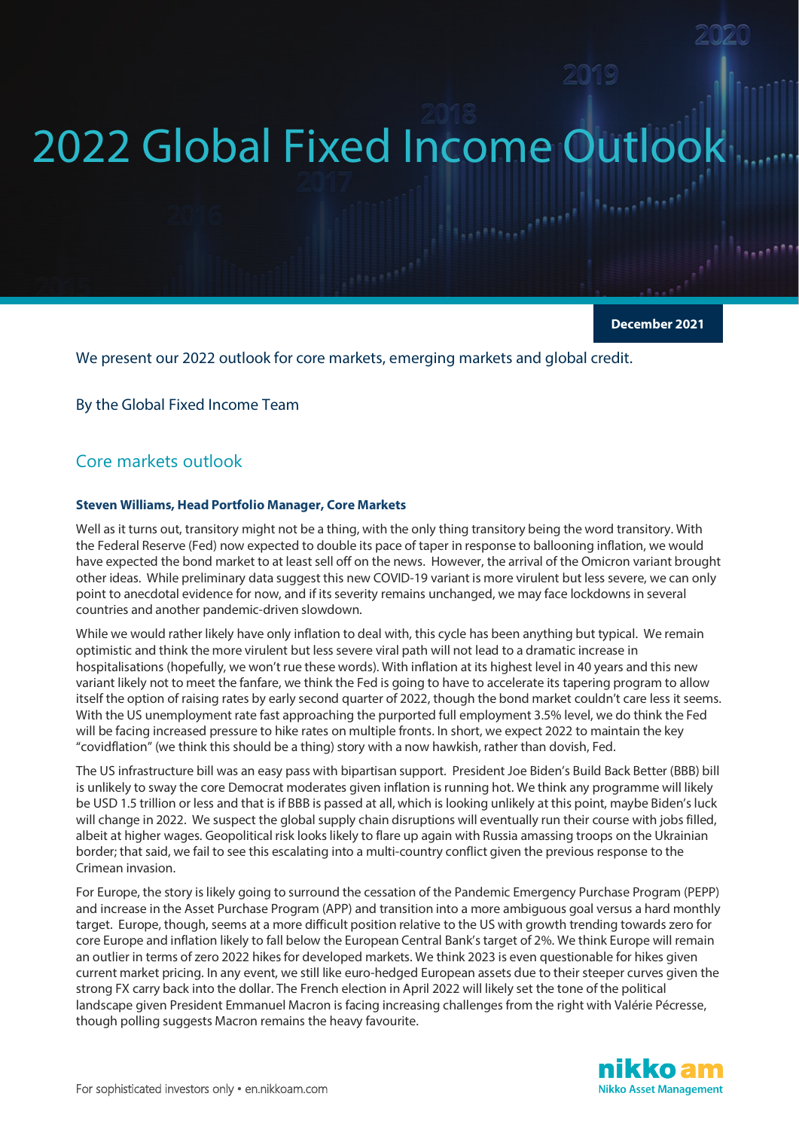# 2022 Global Fixed Income Outloo

**December 2021**

We present our 2022 outlook for core markets, emerging markets and global credit.

By the Global Fixed Income Team

## Core markets outlook

#### **Steven Williams, Head Portfolio Manager, Core Markets**

Well as it turns out, transitory might not be a thing, with the only thing transitory being the word transitory. With the Federal Reserve (Fed) now expected to double its pace of taper in response to ballooning inflation, we would have expected the bond market to at least sell off on the news. However, the arrival of the Omicron variant brought other ideas. While preliminary data suggest this new COVID-19 variant is more virulent but less severe, we can only point to anecdotal evidence for now, and if its severity remains unchanged, we may face lockdowns in several countries and another pandemic-driven slowdown.

While we would rather likely have only inflation to deal with, this cycle has been anything but typical. We remain optimistic and think the more virulent but less severe viral path will not lead to a dramatic increase in hospitalisations (hopefully, we won't rue these words). With inflation at its highest level in 40 years and this new variant likely not to meet the fanfare, we think the Fed is going to have to accelerate its tapering program to allow itself the option of raising rates by early second quarter of 2022, though the bond market couldn't care less it seems. With the US unemployment rate fast approaching the purported full employment 3.5% level, we do think the Fed will be facing increased pressure to hike rates on multiple fronts. In short, we expect 2022 to maintain the key "covidflation" (we think this should be a thing) story with a now hawkish, rather than dovish, Fed.

The US infrastructure bill was an easy pass with bipartisan support. President Joe Biden's Build Back Better (BBB) bill is unlikely to sway the core Democrat moderates given inflation is running hot. We think any programme will likely be USD 1.5 trillion or less and that is if BBB is passed at all, which is looking unlikely at this point, maybe Biden's luck will change in 2022. We suspect the global supply chain disruptions will eventually run their course with jobs filled, albeit at higher wages. Geopolitical risk looks likely to flare up again with Russia amassing troops on the Ukrainian border; that said, we fail to see this escalating into a multi-country conflict given the previous response to the Crimean invasion.

For Europe, the story is likely going to surround the cessation of the Pandemic Emergency Purchase Program (PEPP) and increase in the Asset Purchase Program (APP) and transition into a more ambiguous goal versus a hard monthly target. Europe, though, seems at a more difficult position relative to the US with growth trending towards zero for core Europe and inflation likely to fall below the European Central Bank's target of 2%. We think Europe will remain an outlier in terms of zero 2022 hikes for developed markets. We think 2023 is even questionable for hikes given current market pricing. In any event, we still like euro-hedged European assets due to their steeper curves given the strong FX carry back into the dollar. The French election in April 2022 will likely set the tone of the political landscape given President Emmanuel Macron is facing increasing challenges from the right with Valérie Pécresse, though polling suggests Macron remains the heavy favourite.

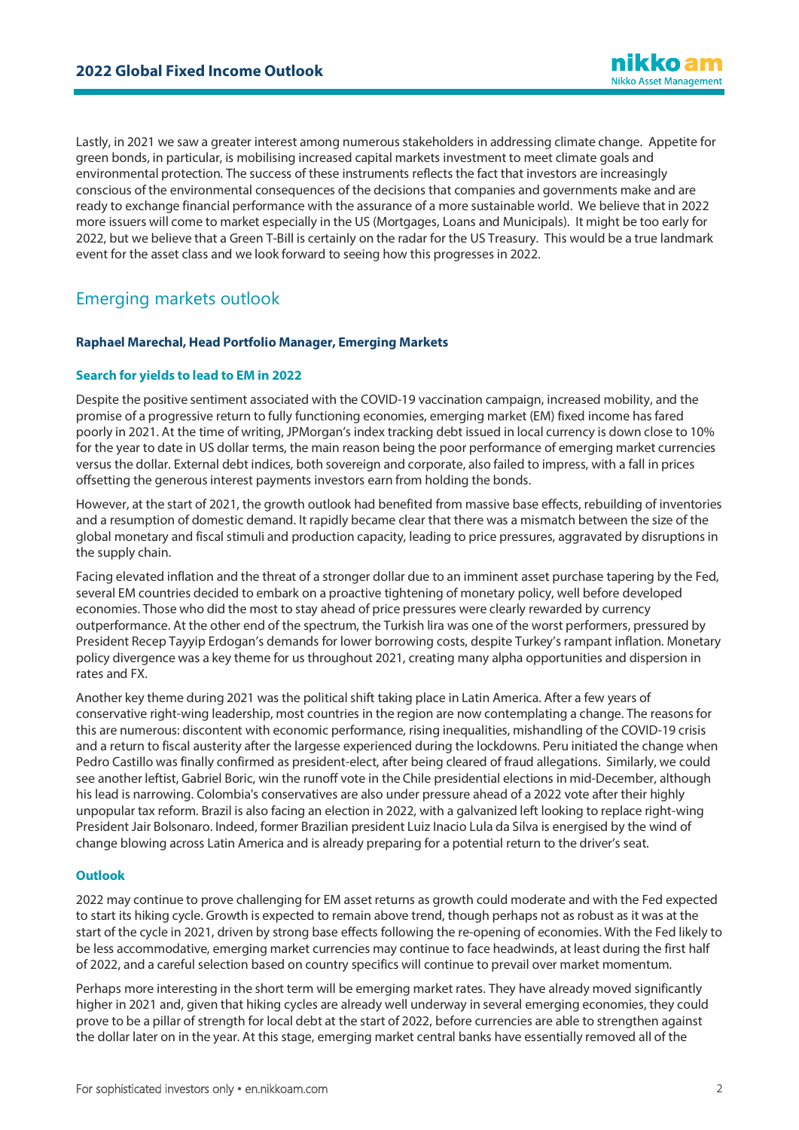Lastly, in 2021 we saw a greater interest among numerous stakeholders in addressing climate change. Appetite for green bonds, in particular, is mobilising increased capital markets investment to meet climate goals and environmental protection. The success of these instruments reflects the fact that investors are increasingly conscious of the environmental consequences of the decisions that companies and governments make and are ready to exchange financial performance with the assurance of a more sustainable world. We believe that in 2022 more issuers will come to market especially in the US (Mortgages, Loans and Municipals). It might be too early for 2022, but we believe that a Green T-Bill is certainly on the radar for the US Treasury. This would be a true landmark event for the asset class and we look forward to seeing how this progresses in 2022.

## Emerging markets outlook

## **Raphael Marechal, Head Portfolio Manager, Emerging Markets**

## **Search for yields to lead to EM in 2022**

Despite the positive sentiment associated with the COVID-19 vaccination campaign, increased mobility, and the promise of a progressive return to fully functioning economies, emerging market (EM) fixed income has fared poorly in 2021. At the time of writing, JPMorgan's index tracking debt issued in local currency is down close to 10% for the year to date in US dollar terms, the main reason being the poor performance of emerging market currencies versus the dollar. External debt indices, both sovereign and corporate, also failed to impress, with a fall in prices offsetting the generous interest payments investors earn from holding the bonds.

However, at the start of 2021, the growth outlook had benefited from massive base effects, rebuilding of inventories and a resumption of domestic demand. It rapidly became clear that there was a mismatch between the size of the global monetary and fiscal stimuli and production capacity, leading to price pressures, aggravated by disruptions in the supply chain.

Facing elevated inflation and the threat of a stronger dollar due to an imminent asset purchase tapering by the Fed, several EM countries decided to embark on a proactive tightening of monetary policy, well before developed economies. Those who did the most to stay ahead of price pressures were clearly rewarded by currency outperformance. At the other end of the spectrum, the Turkish lira was one of the worst performers, pressured by President Recep Tayyip Erdogan's demands for lower borrowing costs, despite Turkey's rampant inflation. Monetary policy divergence was a key theme for us throughout 2021, creating many alpha opportunities and dispersion in rates and FX.

Another key theme during 2021 was the political shift taking place in Latin America. After a few years of conservative right-wing leadership, most countries in the region are now contemplating a change. The reasons for this are numerous: discontent with economic performance, rising inequalities, mishandling of the COVID-19 crisis and a return to fiscal austerity after the largesse experienced during the lockdowns. Peru initiated the change when Pedro Castillo was finally confirmed as president-elect, after being cleared of fraud allegations. Similarly, we could see another leftist, Gabriel Boric, win the runoff vote in the Chile presidential elections in mid-December, although his lead is narrowing. Colombia's conservatives are also under pressure ahead of a 2022 vote after their highly unpopular tax reform. Brazil is also facing an election in 2022, with a galvanized left looking to replace right-wing President Jair Bolsonaro. Indeed, former Brazilian president Luiz Inacio Lula da Silva is energised by the wind of change blowing across Latin America and is already preparing for a potential return to the driver's seat.

## **Outlook**

2022 may continue to prove challenging for EM asset returns as growth could moderate and with the Fed expected to start its hiking cycle. Growth is expected to remain above trend, though perhaps not as robust as it was at the start of the cycle in 2021, driven by strong base effects following the re-opening of economies. With the Fed likely to be less accommodative, emerging market currencies may continue to face headwinds, at least during the first half of 2022, and a careful selection based on country specifics will continue to prevail over market momentum.

Perhaps more interesting in the short term will be emerging market rates. They have already moved significantly higher in 2021 and, given that hiking cycles are already well underway in several emerging economies, they could prove to be a pillar of strength for local debt at the start of 2022, before currencies are able to strengthen against the dollar later on in the year. At this stage, emerging market central banks have essentially removed all of the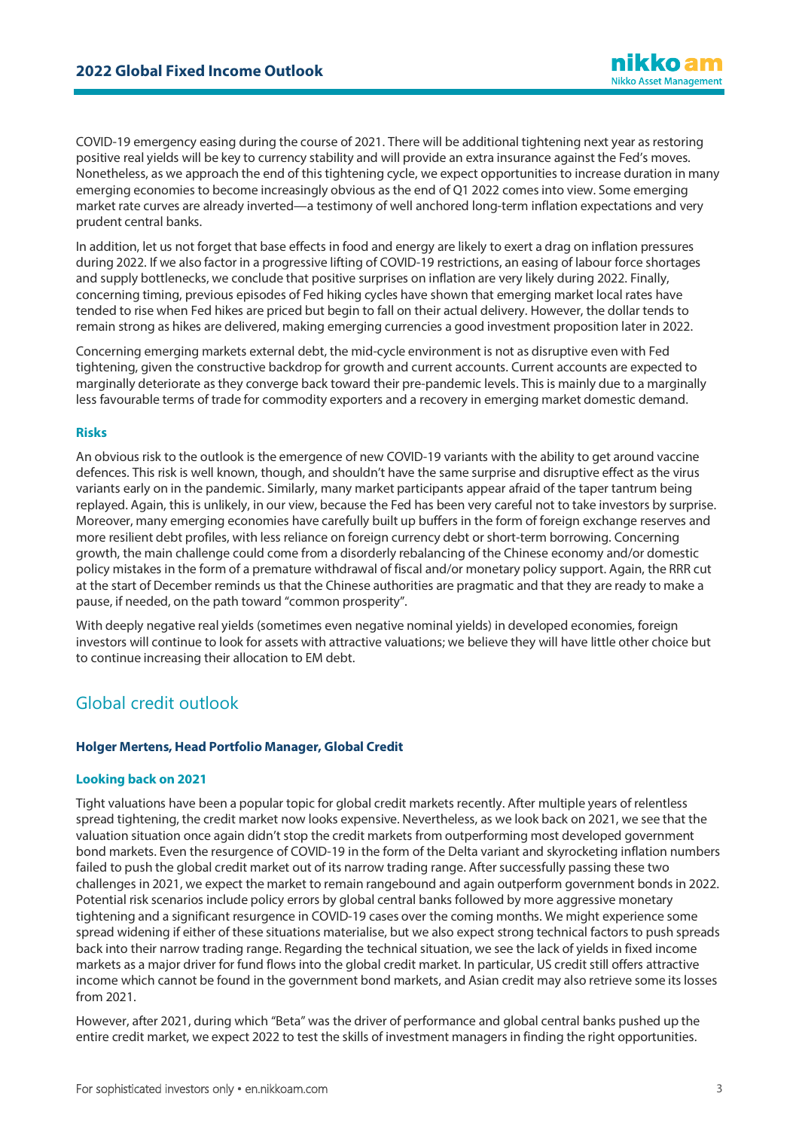COVID-19 emergency easing during the course of 2021. There will be additional tightening next year as restoring positive real yields will be key to currency stability and will provide an extra insurance against the Fed's moves. Nonetheless, as we approach the end of this tightening cycle, we expect opportunities to increase duration in many emerging economies to become increasingly obvious as the end of Q1 2022 comes into view. Some emerging market rate curves are already inverted—a testimony of well anchored long-term inflation expectations and very prudent central banks.

In addition, let us not forget that base effects in food and energy are likely to exert a drag on inflation pressures during 2022. If we also factor in a progressive lifting of COVID-19 restrictions, an easing of labour force shortages and supply bottlenecks, we conclude that positive surprises on inflation are very likely during 2022. Finally, concerning timing, previous episodes of Fed hiking cycles have shown that emerging market local rates have tended to rise when Fed hikes are priced but begin to fall on their actual delivery. However, the dollar tends to remain strong as hikes are delivered, making emerging currencies a good investment proposition later in 2022.

Concerning emerging markets external debt, the mid-cycle environment is not as disruptive even with Fed tightening, given the constructive backdrop for growth and current accounts. Current accounts are expected to marginally deteriorate as they converge back toward their pre-pandemic levels. This is mainly due to a marginally less favourable terms of trade for commodity exporters and a recovery in emerging market domestic demand.

## **Risks**

An obvious risk to the outlook is the emergence of new COVID-19 variants with the ability to get around vaccine defences. This risk is well known, though, and shouldn't have the same surprise and disruptive effect as the virus variants early on in the pandemic. Similarly, many market participants appear afraid of the taper tantrum being replayed. Again, this is unlikely, in our view, because the Fed has been very careful not to take investors by surprise. Moreover, many emerging economies have carefully built up buffers in the form of foreign exchange reserves and more resilient debt profiles, with less reliance on foreign currency debt or short-term borrowing. Concerning growth, the main challenge could come from a disorderly rebalancing of the Chinese economy and/or domestic policy mistakes in the form of a premature withdrawal of fiscal and/or monetary policy support. Again, the RRR cut at the start of December reminds us that the Chinese authorities are pragmatic and that they are ready to make a pause, if needed, on the path toward "common prosperity".

With deeply negative real yields (sometimes even negative nominal yields) in developed economies, foreign investors will continue to look for assets with attractive valuations; we believe they will have little other choice but to continue increasing their allocation to EM debt.

## Global credit outlook

## **Holger Mertens, Head Portfolio Manager, Global Credit**

## **Looking back on 2021**

Tight valuations have been a popular topic for global credit markets recently. After multiple years of relentless spread tightening, the credit market now looks expensive. Nevertheless, as we look back on 2021, we see that the valuation situation once again didn't stop the credit markets from outperforming most developed government bond markets. Even the resurgence of COVID-19 in the form of the Delta variant and skyrocketing inflation numbers failed to push the global credit market out of its narrow trading range. After successfully passing these two challenges in 2021, we expect the market to remain rangebound and again outperform government bonds in 2022. Potential risk scenarios include policy errors by global central banks followed by more aggressive monetary tightening and a significant resurgence in COVID-19 cases over the coming months. We might experience some spread widening if either of these situations materialise, but we also expect strong technical factors to push spreads back into their narrow trading range. Regarding the technical situation, we see the lack of yields in fixed income markets as a major driver for fund flows into the global credit market. In particular, US credit still offers attractive income which cannot be found in the government bond markets, and Asian credit may also retrieve some its losses from 2021.

However, after 2021, during which "Beta" was the driver of performance and global central banks pushed up the entire credit market, we expect 2022 to test the skills of investment managers in finding the right opportunities.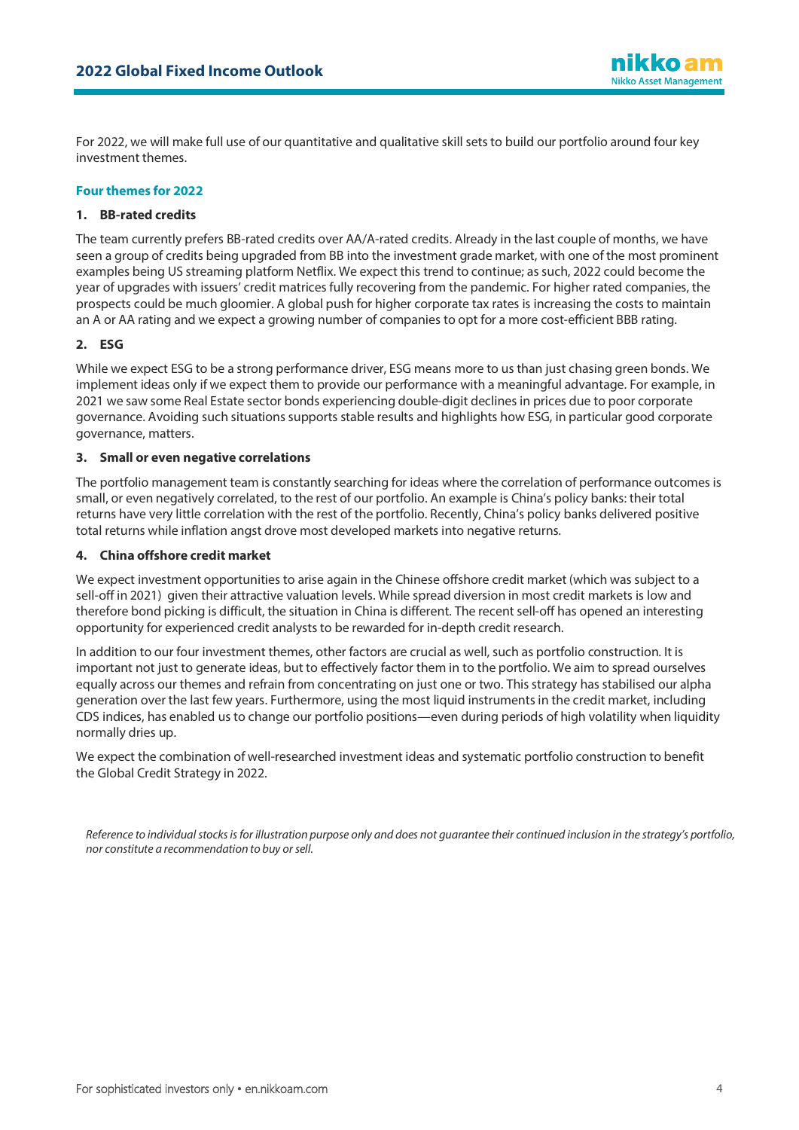

For 2022, we will make full use of our quantitative and qualitative skill sets to build our portfolio around four key investment themes.

## **Four themes for 2022**

## **1. BB-rated credits**

The team currently prefers BB-rated credits over AA/A-rated credits. Already in the last couple of months, we have seen a group of credits being upgraded from BB into the investment grade market, with one of the most prominent examples being US streaming platform Netflix. We expect this trend to continue; as such, 2022 could become the year of upgrades with issuers' credit matrices fully recovering from the pandemic. For higher rated companies, the prospects could be much gloomier. A global push for higher corporate tax rates is increasing the costs to maintain an A or AA rating and we expect a growing number of companies to opt for a more cost-efficient BBB rating.

## **2. ESG**

While we expect ESG to be a strong performance driver, ESG means more to us than just chasing green bonds. We implement ideas only if we expect them to provide our performance with a meaningful advantage. For example, in 2021 we saw some Real Estate sector bonds experiencing double-digit declines in prices due to poor corporate governance. Avoiding such situations supports stable results and highlights how ESG, in particular good corporate governance, matters.

## **3. Small or even negative correlations**

The portfolio management team is constantly searching for ideas where the correlation of performance outcomes is small, or even negatively correlated, to the rest of our portfolio. An example is China's policy banks: their total returns have very little correlation with the rest of the portfolio. Recently, China's policy banks delivered positive total returns while inflation angst drove most developed markets into negative returns.

## **4. China offshore credit market**

We expect investment opportunities to arise again in the Chinese offshore credit market (which was subject to a sell-off in 2021) given their attractive valuation levels. While spread diversion in most credit markets is low and therefore bond picking is difficult, the situation in China is different. The recent sell-off has opened an interesting opportunity for experienced credit analysts to be rewarded for in-depth credit research.

In addition to our four investment themes, other factors are crucial as well, such as portfolio construction. It is important not just to generate ideas, but to effectively factor them in to the portfolio. We aim to spread ourselves equally across our themes and refrain from concentrating on just one or two. This strategy has stabilised our alpha generation over the last few years. Furthermore, using the most liquid instruments in the credit market, including CDS indices, has enabled us to change our portfolio positions—even during periods of high volatility when liquidity normally dries up.

We expect the combination of well-researched investment ideas and systematic portfolio construction to benefit the Global Credit Strategy in 2022.

*Reference to individual stocks is for illustration purpose only and does not guarantee their continued inclusion in the strategy's portfolio, nor constitute a recommendation to buy or sell.*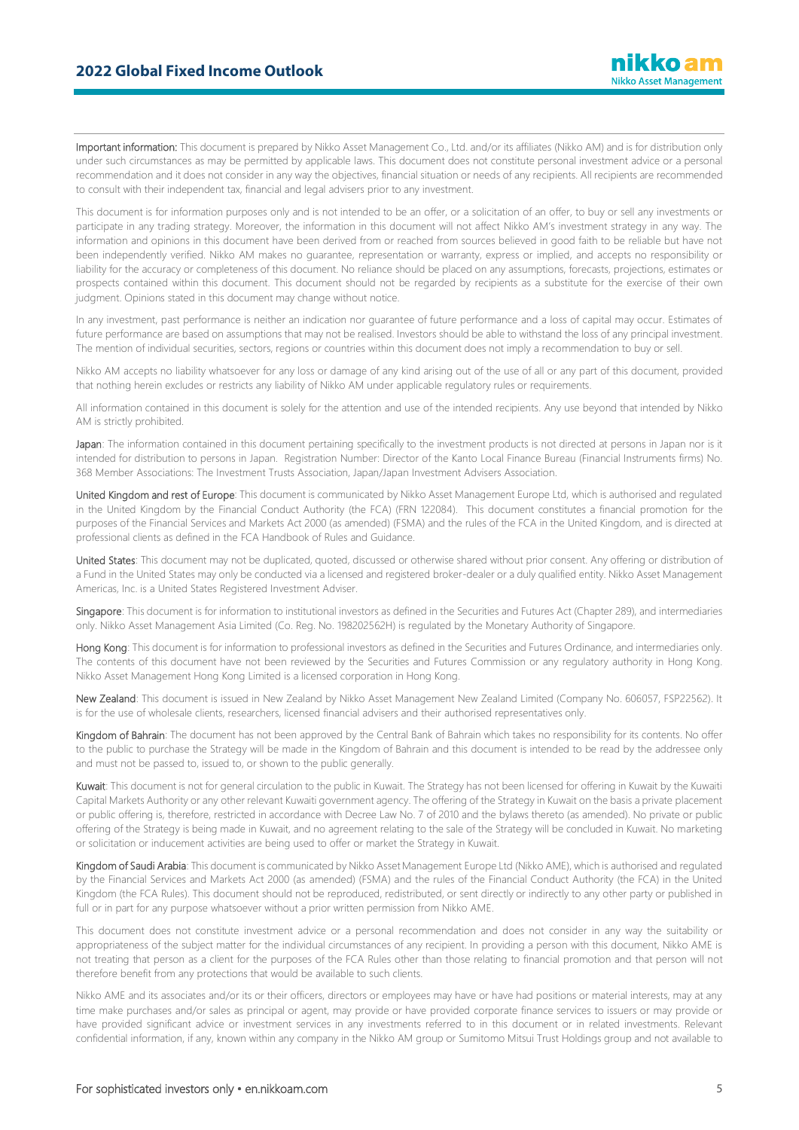Important information: This document is prepared by Nikko Asset Management Co., Ltd. and/or its affiliates (Nikko AM) and is for distribution only under such circumstances as may be permitted by applicable laws. This document does not constitute personal investment advice or a personal recommendation and it does not consider in any way the objectives, financial situation or needs of any recipients. All recipients are recommended to consult with their independent tax, financial and legal advisers prior to any investment.

This document is for information purposes only and is not intended to be an offer, or a solicitation of an offer, to buy or sell any investments or participate in any trading strategy. Moreover, the information in this document will not affect Nikko AM's investment strategy in any way. The information and opinions in this document have been derived from or reached from sources believed in good faith to be reliable but have not been independently verified. Nikko AM makes no guarantee, representation or warranty, express or implied, and accepts no responsibility or liability for the accuracy or completeness of this document. No reliance should be placed on any assumptions, forecasts, projections, estimates or prospects contained within this document. This document should not be regarded by recipients as a substitute for the exercise of their own judgment. Opinions stated in this document may change without notice.

In any investment, past performance is neither an indication nor guarantee of future performance and a loss of capital may occur. Estimates of future performance are based on assumptions that may not be realised. Investors should be able to withstand the loss of any principal investment. The mention of individual securities, sectors, regions or countries within this document does not imply a recommendation to buy or sell.

Nikko AM accepts no liability whatsoever for any loss or damage of any kind arising out of the use of all or any part of this document, provided that nothing herein excludes or restricts any liability of Nikko AM under applicable regulatory rules or requirements.

All information contained in this document is solely for the attention and use of the intended recipients. Any use beyond that intended by Nikko AM is strictly prohibited.

Japan: The information contained in this document pertaining specifically to the investment products is not directed at persons in Japan nor is it intended for distribution to persons in Japan. Registration Number: Director of the Kanto Local Finance Bureau (Financial Instruments firms) No. 368 Member Associations: The Investment Trusts Association, Japan/Japan Investment Advisers Association.

United Kingdom and rest of Europe: This document is communicated by Nikko Asset Management Europe Ltd, which is authorised and regulated in the United Kingdom by the Financial Conduct Authority (the FCA) (FRN 122084). This document constitutes a financial promotion for the purposes of the Financial Services and Markets Act 2000 (as amended) (FSMA) and the rules of the FCA in the United Kingdom, and is directed at professional clients as defined in the FCA Handbook of Rules and Guidance.

United States: This document may not be duplicated, quoted, discussed or otherwise shared without prior consent. Any offering or distribution of a Fund in the United States may only be conducted via a licensed and registered broker-dealer or a duly qualified entity. Nikko Asset Management Americas, Inc. is a United States Registered Investment Adviser.

Singapore: This document is for information to institutional investors as defined in the Securities and Futures Act (Chapter 289), and intermediaries only. Nikko Asset Management Asia Limited (Co. Reg. No. 198202562H) is regulated by the Monetary Authority of Singapore.

Hong Kong: This document is for information to professional investors as defined in the Securities and Futures Ordinance, and intermediaries only. The contents of this document have not been reviewed by the Securities and Futures Commission or any regulatory authority in Hong Kong. Nikko Asset Management Hong Kong Limited is a licensed corporation in Hong Kong.

New Zealand: This document is issued in New Zealand by Nikko Asset Management New Zealand Limited (Company No. 606057, FSP22562). It is for the use of wholesale clients, researchers, licensed financial advisers and their authorised representatives only.

Kingdom of Bahrain: The document has not been approved by the Central Bank of Bahrain which takes no responsibility for its contents. No offer to the public to purchase the Strategy will be made in the Kingdom of Bahrain and this document is intended to be read by the addressee only and must not be passed to, issued to, or shown to the public generally.

Kuwait: This document is not for general circulation to the public in Kuwait. The Strategy has not been licensed for offering in Kuwait by the Kuwaiti Capital Markets Authority or any other relevant Kuwaiti government agency. The offering of the Strategy in Kuwait on the basis a private placement or public offering is, therefore, restricted in accordance with Decree Law No. 7 of 2010 and the bylaws thereto (as amended). No private or public offering of the Strategy is being made in Kuwait, and no agreement relating to the sale of the Strategy will be concluded in Kuwait. No marketing or solicitation or inducement activities are being used to offer or market the Strategy in Kuwait.

Kingdom of Saudi Arabia: This document is communicated by Nikko Asset Management Europe Ltd (Nikko AME), which is authorised and regulated by the Financial Services and Markets Act 2000 (as amended) (FSMA) and the rules of the Financial Conduct Authority (the FCA) in the United Kingdom (the FCA Rules). This document should not be reproduced, redistributed, or sent directly or indirectly to any other party or published in full or in part for any purpose whatsoever without a prior written permission from Nikko AME.

This document does not constitute investment advice or a personal recommendation and does not consider in any way the suitability or appropriateness of the subject matter for the individual circumstances of any recipient. In providing a person with this document, Nikko AME is not treating that person as a client for the purposes of the FCA Rules other than those relating to financial promotion and that person will not therefore benefit from any protections that would be available to such clients.

Nikko AME and its associates and/or its or their officers, directors or employees may have or have had positions or material interests, may at any time make purchases and/or sales as principal or agent, may provide or have provided corporate finance services to issuers or may provide or have provided significant advice or investment services in any investments referred to in this document or in related investments. Relevant confidential information, if any, known within any company in the Nikko AM group or Sumitomo Mitsui Trust Holdings group and not available to